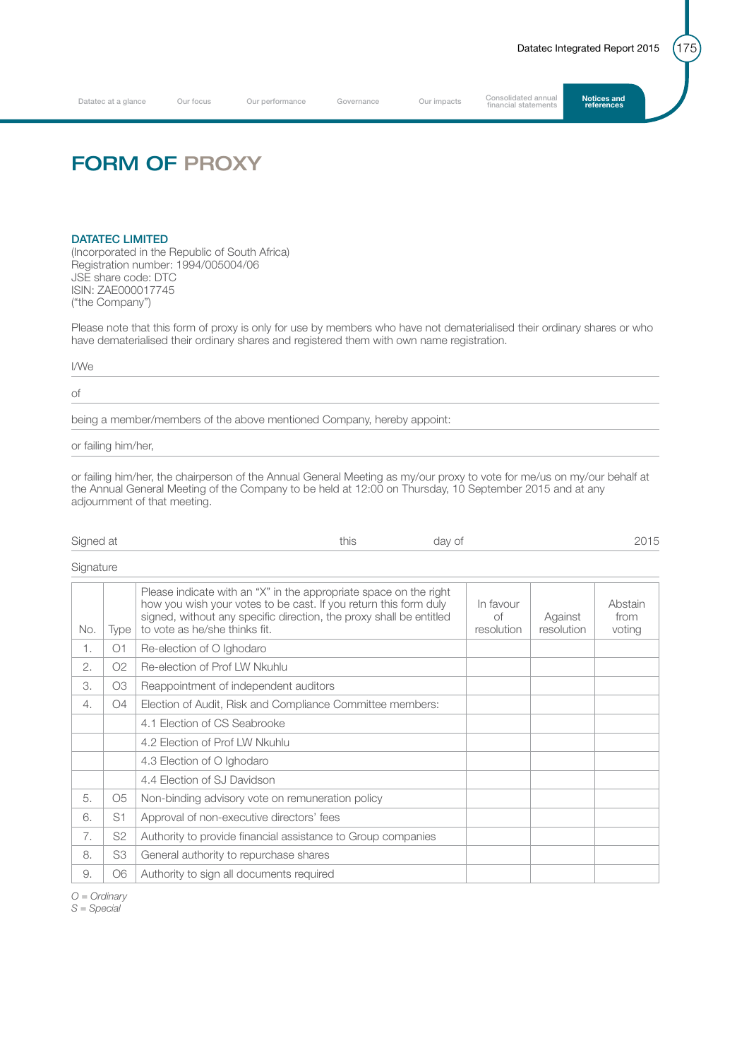Datatec at a glance Our focus Our performance Governance Our impacts Consolidated annual **Notices and**<br>**Consolidated annual statements** 

## FORM OF PROXY

## DATATEC LIMITED

(Incorporated in the Republic of South Africa) Registration number: 1994/005004/06 JSE share code: DTC ISIN: ZAE000017745 ("the Company")

Please note that this form of proxy is only for use by members who have not dematerialised their ordinary shares or who have dematerialised their ordinary shares and registered them with own name registration.

I/We

of

being a member/members of the above mentioned Company, hereby appoint:

or failing him/her,

or failing him/her, the chairperson of the Annual General Meeting as my/our proxy to vote for me/us on my/our behalf at the Annual General Meeting of the Company to be held at 12:00 on Thursday, 10 September 2015 and at any adjournment of that meeting.

| Signed at | $+101c$<br>н н | dav of | $ -$ |
|-----------|----------------|--------|------|
|-----------|----------------|--------|------|

**Signature** 

| No. | Type           | Please indicate with an "X" in the appropriate space on the right<br>how you wish your votes to be cast. If you return this form duly<br>signed, without any specific direction, the proxy shall be entitled<br>to vote as he/she thinks fit. | In favour<br>Ωf<br>resolution | Against<br>resolution | Abstain<br>from<br>voting |
|-----|----------------|-----------------------------------------------------------------------------------------------------------------------------------------------------------------------------------------------------------------------------------------------|-------------------------------|-----------------------|---------------------------|
| 1.  | O1             | Re-election of O Ighodaro                                                                                                                                                                                                                     |                               |                       |                           |
| 2.  | O <sub>2</sub> | Re-election of Prof LW Nkuhlu                                                                                                                                                                                                                 |                               |                       |                           |
| 3.  | O <sub>3</sub> | Reappointment of independent auditors                                                                                                                                                                                                         |                               |                       |                           |
| 4.  | O <sub>4</sub> | Election of Audit, Risk and Compliance Committee members:                                                                                                                                                                                     |                               |                       |                           |
|     |                | 4.1 Election of CS Seabrooke                                                                                                                                                                                                                  |                               |                       |                           |
|     |                | 4.2 Election of Prof LW Nkuhlu                                                                                                                                                                                                                |                               |                       |                           |
|     |                | 4.3 Election of O Ighodaro                                                                                                                                                                                                                    |                               |                       |                           |
|     |                | 4.4 Election of SJ Davidson                                                                                                                                                                                                                   |                               |                       |                           |
| 5.  | O <sub>5</sub> | Non-binding advisory vote on remuneration policy                                                                                                                                                                                              |                               |                       |                           |
| 6.  | S <sub>1</sub> | Approval of non-executive directors' fees                                                                                                                                                                                                     |                               |                       |                           |
| 7.  | S <sub>2</sub> | Authority to provide financial assistance to Group companies                                                                                                                                                                                  |                               |                       |                           |
| 8.  | S3             | General authority to repurchase shares                                                                                                                                                                                                        |                               |                       |                           |
| 9.  | O6             | Authority to sign all documents required                                                                                                                                                                                                      |                               |                       |                           |

*O = Ordinary*

*S = Special*